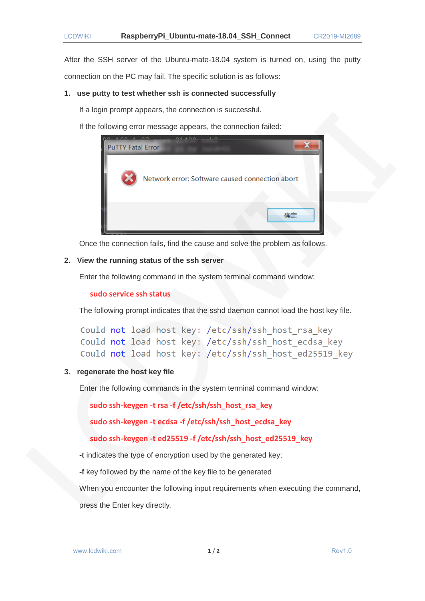After the SSH server of the Ubuntu-mate-18.04 system is turned on, using the putty connection on the PC may fail. The specific solution is as follows:

### **1. use putty to test whether ssh is connected successfully**

If a login prompt appears, the connection is successful.

If the following error message appears, the connection failed:



Once the connection fails, find the cause and solve the problem as follows.

# **2. View the running status of the ssh server**

Enter the following command in the system terminal command window:

**sudo service ssh status**

The following prompt indicates that the sshd daemon cannot load the host key file.

```
Could not load host key: /etc/ssh/ssh host rsa key
Could not load host key: /etc/ssh/ssh host ecdsa key
Could not load host key: /etc/ssh/ssh host ed25519 key
```
# **3. regenerate the host key file**

Enter the following commands in the system terminal command window:

**sudo ssh-keygen -t rsa -f /etc/ssh/ssh\_host\_rsa\_key**

**sudo ssh-keygen -t ecdsa -f /etc/ssh/ssh\_host\_ecdsa\_key**

**sudo ssh-keygen -t ed25519 -f /etc/ssh/ssh\_host\_ed25519\_key**

**-t** indicates the type of encryption used by the generated key;

**-f** key followed by the name of the key file to be generated

When you encounter the following input requirements when executing the command,

press the Enter key directly.

www.lcdwiki.com **1/2 1/2** Rev1.0